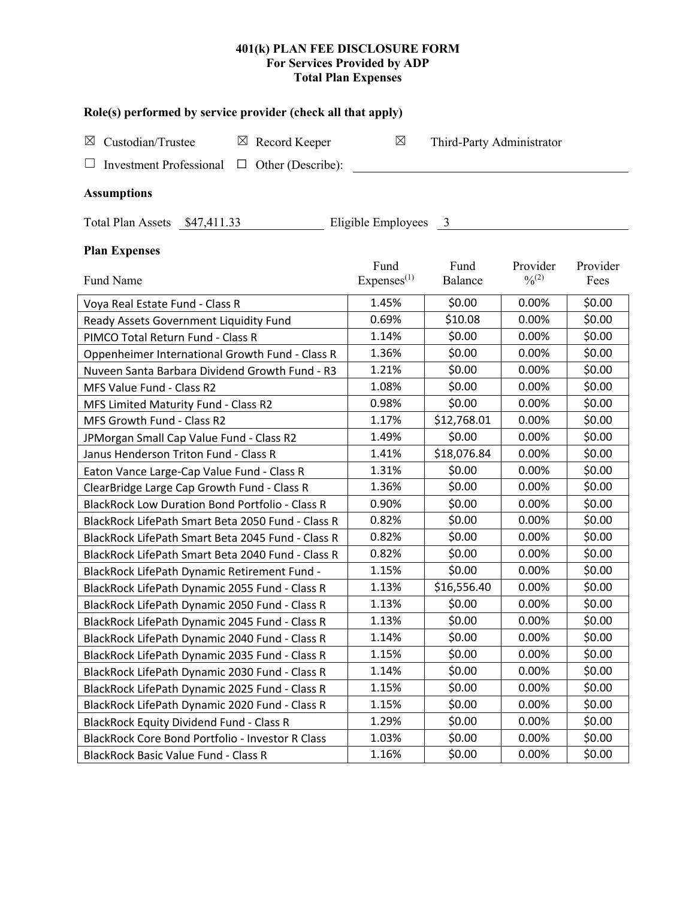# **401(k) PLAN FEE DISCLOSURE FORM For Services Provided by ADP Total Plan Expenses**

| Role(s) performed by service provider (check all that apply)    |                                |                           |                         |                  |  |  |  |  |  |  |
|-----------------------------------------------------------------|--------------------------------|---------------------------|-------------------------|------------------|--|--|--|--|--|--|
| Custodian/Trustee<br>$\boxtimes$ Record Keeper<br>$\boxtimes$   | $\boxtimes$                    | Third-Party Administrator |                         |                  |  |  |  |  |  |  |
| <b>Investment Professional</b><br>$\Box$ Other (Describe):<br>ப |                                |                           |                         |                  |  |  |  |  |  |  |
| <b>Assumptions</b>                                              |                                |                           |                         |                  |  |  |  |  |  |  |
| Total Plan Assets \$47,411.33<br>Eligible Employees 3           |                                |                           |                         |                  |  |  |  |  |  |  |
| <b>Plan Expenses</b>                                            |                                |                           |                         |                  |  |  |  |  |  |  |
| Fund Name                                                       | Fund<br>Express <sup>(1)</sup> | Fund<br>Balance           | Provider<br>$0/0^{(2)}$ | Provider<br>Fees |  |  |  |  |  |  |
| Voya Real Estate Fund - Class R                                 | 1.45%                          | \$0.00                    | 0.00%                   | \$0.00           |  |  |  |  |  |  |
| Ready Assets Government Liquidity Fund                          | 0.69%                          | \$10.08                   | 0.00%                   | \$0.00           |  |  |  |  |  |  |
| PIMCO Total Return Fund - Class R                               | 1.14%                          | \$0.00                    | 0.00%                   | \$0.00           |  |  |  |  |  |  |
| Oppenheimer International Growth Fund - Class R                 | 1.36%                          | \$0.00                    | 0.00%                   | \$0.00           |  |  |  |  |  |  |
| Nuveen Santa Barbara Dividend Growth Fund - R3                  | 1.21%                          | \$0.00                    | 0.00%                   | \$0.00           |  |  |  |  |  |  |
| MFS Value Fund - Class R2                                       | 1.08%                          | \$0.00                    | 0.00%                   | \$0.00           |  |  |  |  |  |  |
| MFS Limited Maturity Fund - Class R2                            | 0.98%                          | \$0.00                    | 0.00%                   | \$0.00           |  |  |  |  |  |  |
| MFS Growth Fund - Class R2                                      | 1.17%                          | \$12,768.01               | 0.00%                   | \$0.00           |  |  |  |  |  |  |
| JPMorgan Small Cap Value Fund - Class R2                        | 1.49%                          | \$0.00                    | 0.00%                   | \$0.00           |  |  |  |  |  |  |
| Janus Henderson Triton Fund - Class R                           | 1.41%                          | \$18,076.84               | 0.00%                   | \$0.00           |  |  |  |  |  |  |
| Eaton Vance Large-Cap Value Fund - Class R                      | 1.31%                          | \$0.00                    | 0.00%                   | \$0.00           |  |  |  |  |  |  |
| ClearBridge Large Cap Growth Fund - Class R                     | 1.36%                          | \$0.00                    | 0.00%                   | \$0.00           |  |  |  |  |  |  |
| <b>BlackRock Low Duration Bond Portfolio - Class R</b>          | 0.90%                          | \$0.00                    | 0.00%                   | \$0.00           |  |  |  |  |  |  |
| BlackRock LifePath Smart Beta 2050 Fund - Class R               | 0.82%                          | \$0.00                    | 0.00%                   | \$0.00           |  |  |  |  |  |  |
| BlackRock LifePath Smart Beta 2045 Fund - Class R               | 0.82%                          | \$0.00                    | 0.00%                   | \$0.00           |  |  |  |  |  |  |
| BlackRock LifePath Smart Beta 2040 Fund - Class R               | 0.82%                          | \$0.00                    | 0.00%                   | \$0.00           |  |  |  |  |  |  |
| BlackRock LifePath Dynamic Retirement Fund -                    | 1.15%                          | \$0.00                    | 0.00%                   | \$0.00           |  |  |  |  |  |  |
| BlackRock LifePath Dynamic 2055 Fund - Class R                  | 1.13%                          | \$16,556.40               | 0.00%                   | \$0.00           |  |  |  |  |  |  |
| BlackRock LifePath Dynamic 2050 Fund - Class R                  | 1.13%                          | \$0.00                    | 0.00%                   | \$0.00           |  |  |  |  |  |  |
| BlackRock LifePath Dynamic 2045 Fund - Class R                  | 1.13%                          | \$0.00                    | 0.00%                   | \$0.00           |  |  |  |  |  |  |
| BlackRock LifePath Dynamic 2040 Fund - Class R                  | 1.14%                          | \$0.00                    | 0.00%                   | \$0.00           |  |  |  |  |  |  |
| BlackRock LifePath Dynamic 2035 Fund - Class R                  | 1.15%                          | \$0.00                    | 0.00%                   | \$0.00           |  |  |  |  |  |  |
| BlackRock LifePath Dynamic 2030 Fund - Class R                  | 1.14%                          | \$0.00                    | 0.00%                   | \$0.00           |  |  |  |  |  |  |
| BlackRock LifePath Dynamic 2025 Fund - Class R                  | 1.15%                          | \$0.00                    | 0.00%                   | \$0.00           |  |  |  |  |  |  |
| BlackRock LifePath Dynamic 2020 Fund - Class R                  | 1.15%                          | \$0.00                    | 0.00%                   | \$0.00           |  |  |  |  |  |  |
| <b>BlackRock Equity Dividend Fund - Class R</b>                 | 1.29%                          | \$0.00                    | 0.00%                   | \$0.00           |  |  |  |  |  |  |
| BlackRock Core Bond Portfolio - Investor R Class                | 1.03%                          | \$0.00                    | 0.00%                   | \$0.00           |  |  |  |  |  |  |
| <b>BlackRock Basic Value Fund - Class R</b>                     | 1.16%                          | \$0.00                    | 0.00%                   | \$0.00           |  |  |  |  |  |  |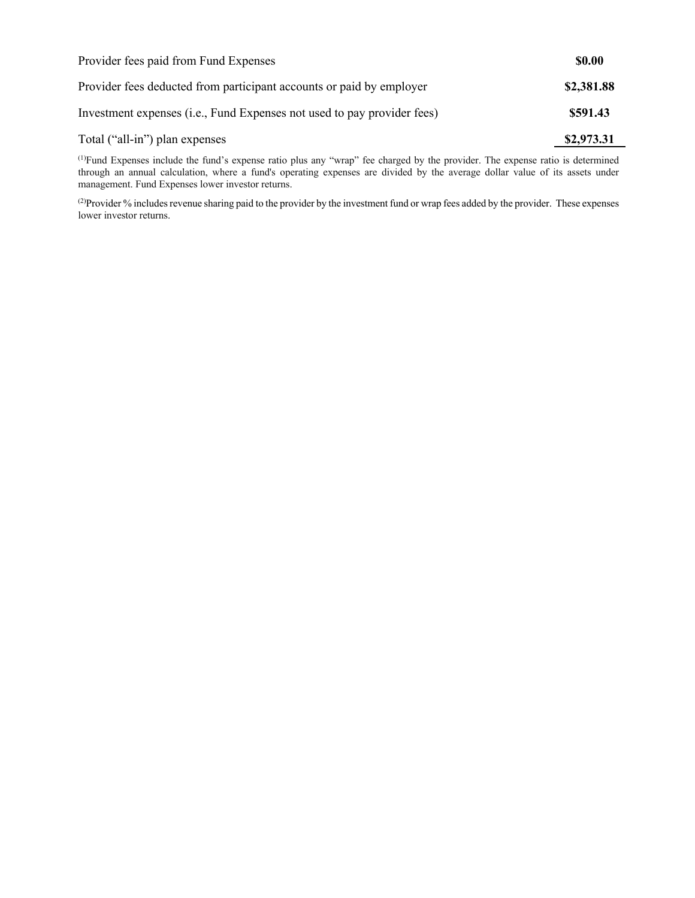| Provider fees paid from Fund Expenses                                   | <b>\$0.00</b> |
|-------------------------------------------------------------------------|---------------|
| Provider fees deducted from participant accounts or paid by employer    | \$2,381.88    |
| Investment expenses (i.e., Fund Expenses not used to pay provider fees) | \$591.43      |
| Total ("all-in") plan expenses                                          | \$2,973.31    |

(1) Fund Expenses include the fund's expense ratio plus any "wrap" fee charged by the provider. The expense ratio is determined through an annual calculation, where a fund's operating expenses are divided by the average dollar value of its assets under management. Fund Expenses lower investor returns.

(2) Provider % includes revenue sharing paid to the provider by the investment fund or wrap fees added by the provider. These expenses lower investor returns.